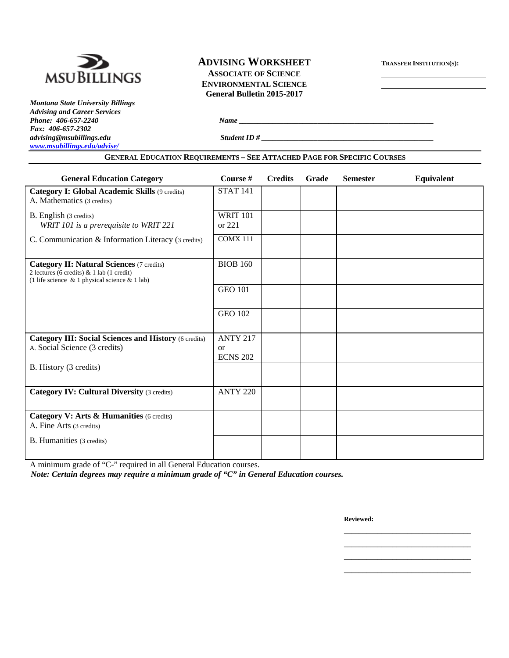

## **ADVISING WORKSHEET TRANSFER INSTITUTION(S):**

**ASSOCIATE OF SCIENCE General Bulletin 2015-2017** 

*Montana State University Billings Advising and Career Services Fax: 406-657-2302 www.msubillings.edu/advise/*

*Phone: 406-657-2240 Name*  $\frac{1}{2}$  *Name*  $\frac{1}{2}$  *Name*  $\frac{1}{2}$  *Name*  $\frac{1}{2}$  *Name*  $\frac{1}{2}$  *Name*  $\frac{1}{2}$  *Name*  $\frac{1}{2}$  *Name*  $\frac{1}{2}$  *Name*  $\frac{1}{2}$  *Name*  $\frac{1}{2}$  *Name*  $\frac{1}{2}$  *Name*  $\frac{1}{2}$ 

 $Student$  *ID #*  $\qquad$ 

### **GENERAL EDUCATION REQUIREMENTS – SEE ATTACHED PAGE FOR SPECIFIC COURSES**

| <b>General Education Category</b>                                                                                                                      | Course #                                        | <b>Credits</b> | Grade | <b>Semester</b> | Equivalent |
|--------------------------------------------------------------------------------------------------------------------------------------------------------|-------------------------------------------------|----------------|-------|-----------------|------------|
| Category I: Global Academic Skills (9 credits)<br>A. Mathematics (3 credits)                                                                           | <b>STAT 141</b>                                 |                |       |                 |            |
| <b>B.</b> English (3 credits)<br>WRIT 101 is a prerequisite to WRIT 221                                                                                | <b>WRIT 101</b><br>or 221                       |                |       |                 |            |
| C. Communication & Information Literacy (3 credits)                                                                                                    | <b>COMX 111</b>                                 |                |       |                 |            |
| <b>Category II: Natural Sciences (7 credits)</b><br>2 lectures (6 credits) $& 1$ lab (1 credit)<br>(1 life science $\&$ 1 physical science $\&$ 1 lab) | <b>BIOB 160</b>                                 |                |       |                 |            |
|                                                                                                                                                        | <b>GEO 101</b>                                  |                |       |                 |            |
|                                                                                                                                                        | <b>GEO 102</b>                                  |                |       |                 |            |
| <b>Category III: Social Sciences and History (6 credits)</b><br>A. Social Science (3 credits)                                                          | <b>ANTY 217</b><br><b>or</b><br><b>ECNS 202</b> |                |       |                 |            |
| B. History (3 credits)                                                                                                                                 |                                                 |                |       |                 |            |
| <b>Category IV: Cultural Diversity (3 credits)</b>                                                                                                     | <b>ANTY 220</b>                                 |                |       |                 |            |
| Category V: Arts & Humanities (6 credits)<br>A. Fine Arts (3 credits)                                                                                  |                                                 |                |       |                 |            |
| B. Humanities (3 credits)                                                                                                                              |                                                 |                |       |                 |            |

 $\mathcal{L}_\text{max}$  , and the contract of the contract of the contract of the contract of the contract of the contract of the contract of the contract of the contract of the contract of the contract of the contract of the contr  $\mathcal{L}_\text{max}$  , and the contract of the contract of the contract of the contract of the contract of the contract of the contract of the contract of the contract of the contract of the contract of the contract of the contr  $\mathcal{L}_\text{max}$  , and the contract of the contract of the contract of the contract of the contract of the contract of the contract of the contract of the contract of the contract of the contract of the contract of the contr  $\mathcal{L}_\text{max}$  , and the contract of the contract of the contract of the contract of the contract of the contract of the contract of the contract of the contract of the contract of the contract of the contract of the contr

A minimum grade of "C-" required in all General Education courses.

*Note: Certain degrees may require a minimum grade of "C" in General Education courses.* 

**Reviewed:**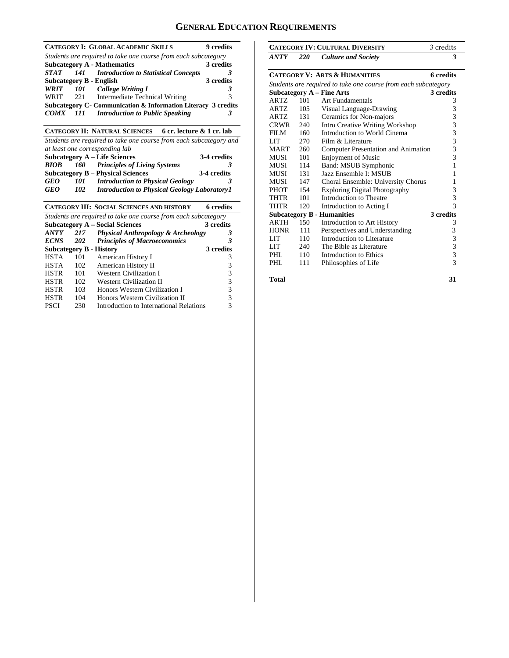### **GENERAL EDUCATION REQUIREMENTS**

|             |     | <b>CATEGORY I: GLOBAL ACADEMIC SKILLS</b>                          | 9 credits   |
|-------------|-----|--------------------------------------------------------------------|-------------|
|             |     | Students are required to take one course from each subcategory     |             |
|             |     | <b>Subcategory A - Mathematics</b>                                 | 3 credits   |
| <b>STAT</b> | 141 | <b>Introduction to Statistical Concepts</b>                        | 3           |
|             |     | <b>Subcategory B - English</b>                                     | 3 credits   |
| WRIT        |     | 101 College Writing I                                              | 3           |
| WRIT        | 221 | Intermediate Technical Writing                                     | 3           |
|             |     | Subcategory C- Communication & Information Literacy 3 credits      |             |
| <i>COMX</i> | 111 | <b>Introduction to Public Speaking</b>                             | 3           |
|             |     | CATEGORY II: NATURAL SCIENCES 6 cr. lecture & 1 cr. lab            |             |
|             |     | Students are required to take one course from each subcategory and |             |
|             |     | at least one corresponding lab                                     |             |
|             |     | <b>Subcategory A - Life Sciences</b>                               | 3-4 credits |
| <b>BIOB</b> | 160 | <b>Principles of Living Systems</b>                                | 3           |
|             |     | <b>Subcategory B - Physical Sciences</b>                           | 3-4 credits |
| <b>GEO</b>  | 101 | <b>Introduction to Physical Geology</b>                            | 3           |
| <b>GEO</b>  | 102 | <b>Introduction to Physical Geology Laboratory 1</b>               |             |
|             |     | <b>CATEGORY III: SOCIAL SCIENCES AND HISTORY</b>                   | 6 credits   |
|             |     | Students are required to take one course from each subcategory     |             |
|             |     | <b>Subcategory A – Social Sciences</b>                             | 3 credits   |
| ANTY        | 217 | <b>Physical Anthropology &amp; Archeology</b>                      | 3           |
| <b>ECNS</b> | 202 | <b>Principles of Macroeconomics</b>                                | 3           |
|             |     | <b>Subcategory B - History</b>                                     | 3 credits   |
| <b>HSTA</b> | 101 | American History I                                                 | 3           |
| <b>HSTA</b> | 102 | American History II                                                | 3           |
| <b>HSTR</b> | 101 | <b>Western Civilization I</b>                                      | 3           |
| <b>HSTR</b> | 102 | <b>Western Civilization II</b>                                     | 3           |
| <b>HSTR</b> | 103 | Honors Western Civilization I                                      | 3           |
| <b>HSTR</b> | 104 | Honors Western Civilization II                                     | 3           |
| <b>PSCI</b> | 230 | Introduction to International Relations                            | 3           |
|             |     |                                                                    |             |

|                                                                |            | <b>CATEGORY IV: CULTURAL DIVERSITY</b>     | 3 credits                |  |
|----------------------------------------------------------------|------------|--------------------------------------------|--------------------------|--|
| ANTY                                                           | <b>220</b> | <b>Culture and Society</b>                 | 3                        |  |
| <b>CATEGORY V: ARTS &amp; HUMANITIES</b><br><b>6</b> credits   |            |                                            |                          |  |
| Students are required to take one course from each subcategory |            |                                            |                          |  |
|                                                                |            | <b>Subcategory A – Fine Arts</b>           | 3 credits                |  |
| <b>ARTZ</b>                                                    | 101        | <b>Art Fundamentals</b>                    | 3                        |  |
| <b>ARTZ</b>                                                    | 105        | Visual Language-Drawing                    | 3                        |  |
| <b>ARTZ</b>                                                    | 131        | Ceramics for Non-majors                    | 3                        |  |
| <b>CRWR</b>                                                    | 240        | <b>Intro Creative Writing Workshop</b>     | 3                        |  |
| FILM                                                           | 160        | Introduction to World Cinema               | 3                        |  |
| LIT                                                            | 270        | Film $&$ Literature                        | 3                        |  |
| <b>MART</b>                                                    | 260        | <b>Computer Presentation and Animation</b> | 3                        |  |
| MUSI                                                           | 101        | <b>Enjoyment of Music</b>                  | 3                        |  |
| MUSI                                                           | 114        | Band: MSUB Symphonic                       | 1                        |  |
| MUSI                                                           | 131        | Jazz Ensemble I: MSUB                      | 1                        |  |
| MUSI                                                           | 147        | Choral Ensemble: University Chorus         | 1                        |  |
| <b>PHOT</b>                                                    | 154        | <b>Exploring Digital Photography</b>       | 3                        |  |
| THTR                                                           | 101        | Introduction to Theatre                    | 3                        |  |
| THTR                                                           | 120        | Introduction to Acting I                   | $\overline{\mathcal{E}}$ |  |
|                                                                |            | <b>Subcategory B - Humanities</b>          | 3 credits                |  |
| <b>ARTH</b>                                                    | 150        | <b>Introduction to Art History</b>         | 3                        |  |
| <b>HONR</b>                                                    | 111        | Perspectives and Understanding             | 3                        |  |
| LIT                                                            | 110        | Introduction to Literature                 | 3                        |  |
| LIT                                                            | 240        | The Bible as Literature                    | 3                        |  |
| PHI.                                                           | 110        | Introduction to Ethics                     | 3                        |  |
| PHI.                                                           | 111        | Philosophies of Life                       | $\overline{3}$           |  |
| <b>Total</b>                                                   |            |                                            | 31                       |  |